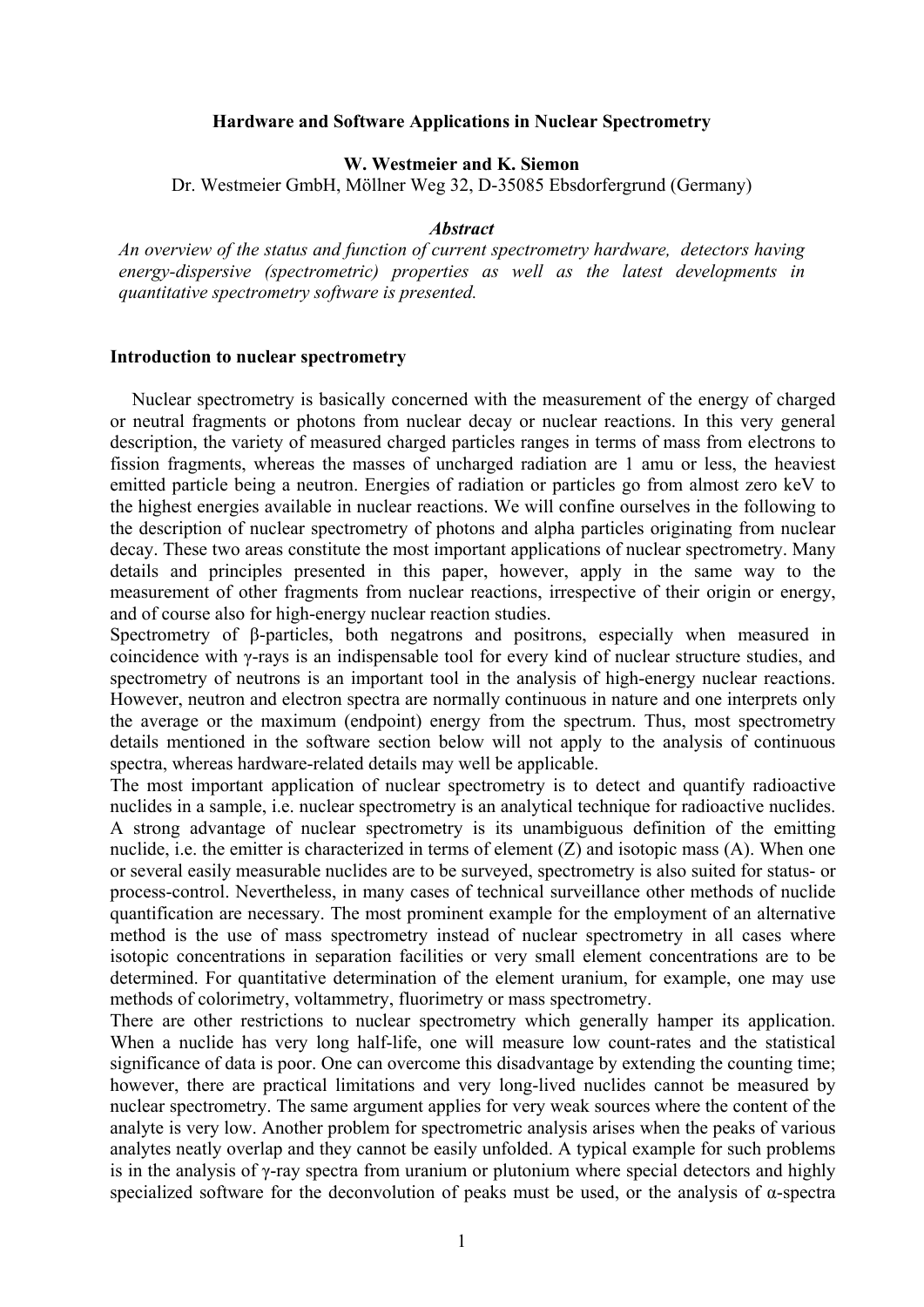#### **Hardware and Software Applications in Nuclear Spectrometry**

## **W. Westmeier and K. Siemon**

Dr. Westmeier GmbH, Möllner Weg 32, D-35085 Ebsdorfergrund (Germany)

## *Abstract*

*An overview of the status and function of current spectrometry hardware, detectors having energy-dispersive (spectrometric) properties as well as the latest developments in quantitative spectrometry software is presented.* 

### **Introduction to nuclear spectrometry**

 Nuclear spectrometry is basically concerned with the measurement of the energy of charged or neutral fragments or photons from nuclear decay or nuclear reactions. In this very general description, the variety of measured charged particles ranges in terms of mass from electrons to fission fragments, whereas the masses of uncharged radiation are 1 amu or less, the heaviest emitted particle being a neutron. Energies of radiation or particles go from almost zero keV to the highest energies available in nuclear reactions. We will confine ourselves in the following to the description of nuclear spectrometry of photons and alpha particles originating from nuclear decay. These two areas constitute the most important applications of nuclear spectrometry. Many details and principles presented in this paper, however, apply in the same way to the measurement of other fragments from nuclear reactions, irrespective of their origin or energy, and of course also for high-energy nuclear reaction studies.

Spectrometry of β-particles, both negatrons and positrons, especially when measured in coincidence with γ-rays is an indispensable tool for every kind of nuclear structure studies, and spectrometry of neutrons is an important tool in the analysis of high-energy nuclear reactions. However, neutron and electron spectra are normally continuous in nature and one interprets only the average or the maximum (endpoint) energy from the spectrum. Thus, most spectrometry details mentioned in the software section below will not apply to the analysis of continuous spectra, whereas hardware-related details may well be applicable.

The most important application of nuclear spectrometry is to detect and quantify radioactive nuclides in a sample, i.e. nuclear spectrometry is an analytical technique for radioactive nuclides. A strong advantage of nuclear spectrometry is its unambiguous definition of the emitting nuclide, i.e. the emitter is characterized in terms of element (Z) and isotopic mass (A). When one or several easily measurable nuclides are to be surveyed, spectrometry is also suited for status- or process-control. Nevertheless, in many cases of technical surveillance other methods of nuclide quantification are necessary. The most prominent example for the employment of an alternative method is the use of mass spectrometry instead of nuclear spectrometry in all cases where isotopic concentrations in separation facilities or very small element concentrations are to be determined. For quantitative determination of the element uranium, for example, one may use methods of colorimetry, voltammetry, fluorimetry or mass spectrometry.

There are other restrictions to nuclear spectrometry which generally hamper its application. When a nuclide has very long half-life, one will measure low count-rates and the statistical significance of data is poor. One can overcome this disadvantage by extending the counting time; however, there are practical limitations and very long-lived nuclides cannot be measured by nuclear spectrometry. The same argument applies for very weak sources where the content of the analyte is very low. Another problem for spectrometric analysis arises when the peaks of various analytes neatly overlap and they cannot be easily unfolded. A typical example for such problems is in the analysis of γ-ray spectra from uranium or plutonium where special detectors and highly specialized software for the deconvolution of peaks must be used, or the analysis of  $\alpha$ -spectra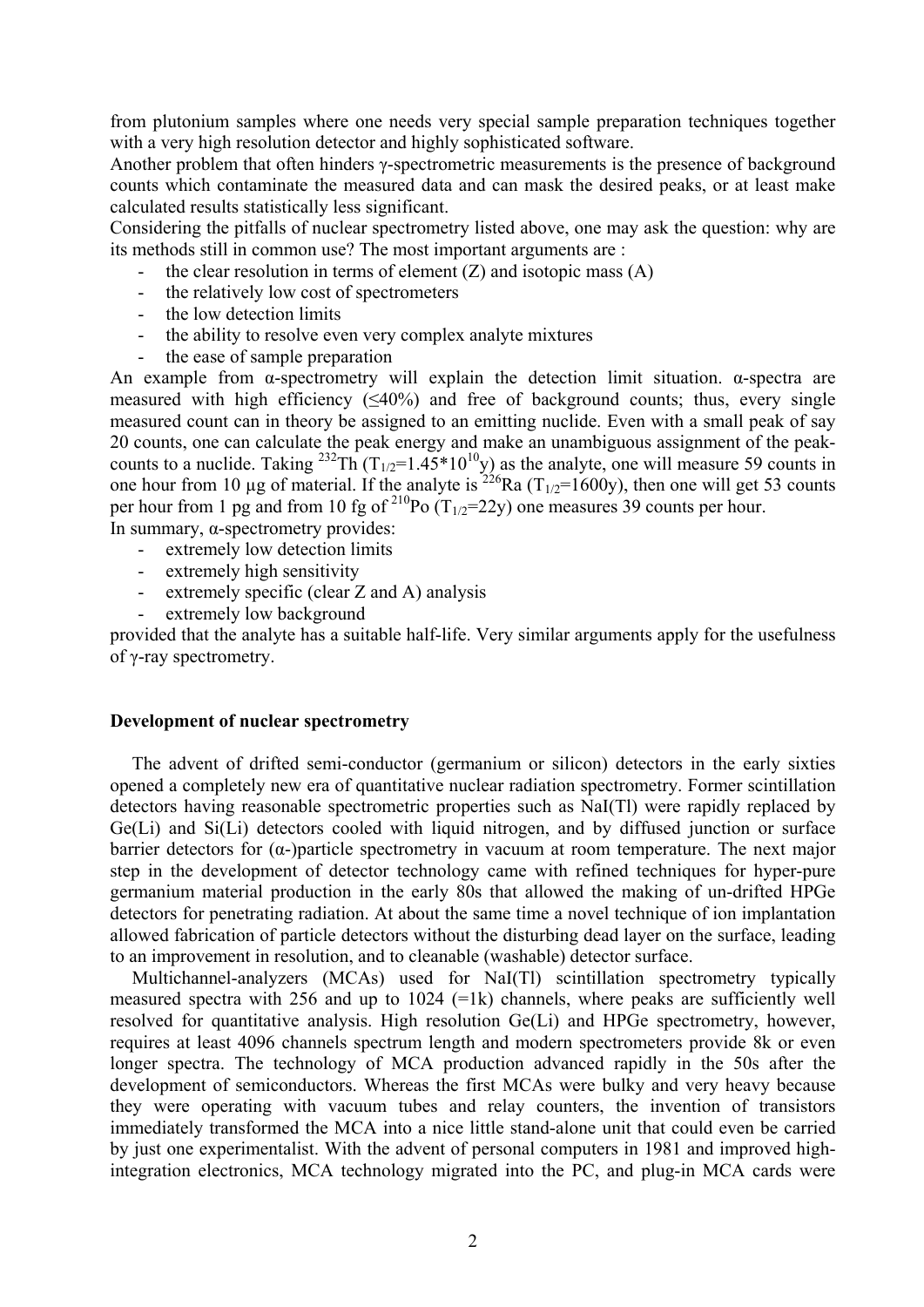from plutonium samples where one needs very special sample preparation techniques together with a very high resolution detector and highly sophisticated software.

Another problem that often hinders γ-spectrometric measurements is the presence of background counts which contaminate the measured data and can mask the desired peaks, or at least make calculated results statistically less significant.

Considering the pitfalls of nuclear spectrometry listed above, one may ask the question: why are its methods still in common use? The most important arguments are :

- the clear resolution in terms of element  $(Z)$  and isotopic mass  $(A)$
- the relatively low cost of spectrometers
- the low detection limits
- the ability to resolve even very complex analyte mixtures
- the ease of sample preparation

An example from  $\alpha$ -spectrometry will explain the detection limit situation.  $\alpha$ -spectra are measured with high efficiency  $(\leq 40\%)$  and free of background counts; thus, every single measured count can in theory be assigned to an emitting nuclide. Even with a small peak of say 20 counts, one can calculate the peak energy and make an unambiguous assignment of the peakcounts to a nuclide. Taking <sup>232</sup>Th (T<sub>1/2</sub>=1.45<sup>\*</sup>10<sup>10</sup>y) as the analyte, one will measure 59 counts in one hour from 10 µg of material. If the analyte is  $^{226}$ Ra (T<sub>1/2</sub>=1600y), then one will get 53 counts per hour from 1 pg and from 10 fg of  $^{210}$ Po (T<sub>1/2</sub>=22y) one measures 39 counts per hour.

In summary, α-spectrometry provides:

- extremely low detection limits
- extremely high sensitivity
- extremely specific (clear Z and A) analysis
- extremely low background

provided that the analyte has a suitable half-life. Very similar arguments apply for the usefulness of γ-ray spectrometry.

## **Development of nuclear spectrometry**

The advent of drifted semi-conductor (germanium or silicon) detectors in the early sixties opened a completely new era of quantitative nuclear radiation spectrometry. Former scintillation detectors having reasonable spectrometric properties such as NaI(Tl) were rapidly replaced by Ge(Li) and Si(Li) detectors cooled with liquid nitrogen, and by diffused junction or surface barrier detectors for  $(\alpha$ -)particle spectrometry in vacuum at room temperature. The next major step in the development of detector technology came with refined techniques for hyper-pure germanium material production in the early 80s that allowed the making of un-drifted HPGe detectors for penetrating radiation. At about the same time a novel technique of ion implantation allowed fabrication of particle detectors without the disturbing dead layer on the surface, leading to an improvement in resolution, and to cleanable (washable) detector surface.

 Multichannel-analyzers (MCAs) used for NaI(Tl) scintillation spectrometry typically measured spectra with 256 and up to  $1024$  (=1k) channels, where peaks are sufficiently well resolved for quantitative analysis. High resolution Ge(Li) and HPGe spectrometry, however, requires at least 4096 channels spectrum length and modern spectrometers provide 8k or even longer spectra. The technology of MCA production advanced rapidly in the 50s after the development of semiconductors. Whereas the first MCAs were bulky and very heavy because they were operating with vacuum tubes and relay counters, the invention of transistors immediately transformed the MCA into a nice little stand-alone unit that could even be carried by just one experimentalist. With the advent of personal computers in 1981 and improved highintegration electronics, MCA technology migrated into the PC, and plug-in MCA cards were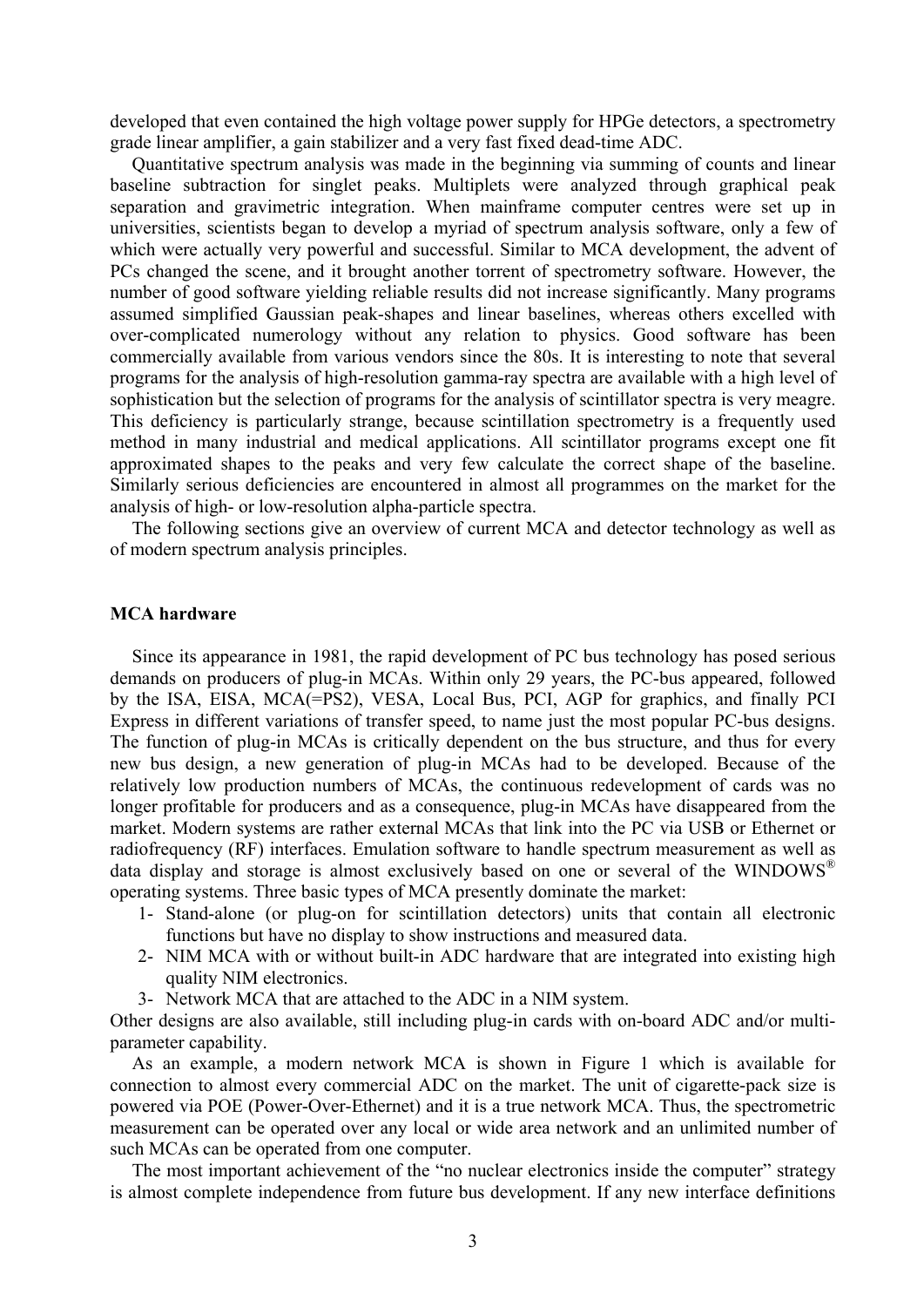developed that even contained the high voltage power supply for HPGe detectors, a spectrometry grade linear amplifier, a gain stabilizer and a very fast fixed dead-time ADC.

 Quantitative spectrum analysis was made in the beginning via summing of counts and linear baseline subtraction for singlet peaks. Multiplets were analyzed through graphical peak separation and gravimetric integration. When mainframe computer centres were set up in universities, scientists began to develop a myriad of spectrum analysis software, only a few of which were actually very powerful and successful. Similar to MCA development, the advent of PCs changed the scene, and it brought another torrent of spectrometry software. However, the number of good software yielding reliable results did not increase significantly. Many programs assumed simplified Gaussian peak-shapes and linear baselines, whereas others excelled with over-complicated numerology without any relation to physics. Good software has been commercially available from various vendors since the 80s. It is interesting to note that several programs for the analysis of high-resolution gamma-ray spectra are available with a high level of sophistication but the selection of programs for the analysis of scintillator spectra is very meagre. This deficiency is particularly strange, because scintillation spectrometry is a frequently used method in many industrial and medical applications. All scintillator programs except one fit approximated shapes to the peaks and very few calculate the correct shape of the baseline. Similarly serious deficiencies are encountered in almost all programmes on the market for the analysis of high- or low-resolution alpha-particle spectra.

 The following sections give an overview of current MCA and detector technology as well as of modern spectrum analysis principles.

#### **MCA hardware**

 Since its appearance in 1981, the rapid development of PC bus technology has posed serious demands on producers of plug-in MCAs. Within only 29 years, the PC-bus appeared, followed by the ISA, EISA, MCA(=PS2), VESA, Local Bus, PCI, AGP for graphics, and finally PCI Express in different variations of transfer speed, to name just the most popular PC-bus designs. The function of plug-in MCAs is critically dependent on the bus structure, and thus for every new bus design, a new generation of plug-in MCAs had to be developed. Because of the relatively low production numbers of MCAs, the continuous redevelopment of cards was no longer profitable for producers and as a consequence, plug-in MCAs have disappeared from the market. Modern systems are rather external MCAs that link into the PC via USB or Ethernet or radiofrequency (RF) interfaces. Emulation software to handle spectrum measurement as well as data display and storage is almost exclusively based on one or several of the WINDOWS<sup>®</sup> operating systems. Three basic types of MCA presently dominate the market:

- 1- Stand-alone (or plug-on for scintillation detectors) units that contain all electronic functions but have no display to show instructions and measured data.
- 2- NIM MCA with or without built-in ADC hardware that are integrated into existing high quality NIM electronics.
- 3- Network MCA that are attached to the ADC in a NIM system.

Other designs are also available, still including plug-in cards with on-board ADC and/or multiparameter capability.

 As an example, a modern network MCA is shown in Figure 1 which is available for connection to almost every commercial ADC on the market. The unit of cigarette-pack size is powered via POE (Power-Over-Ethernet) and it is a true network MCA. Thus, the spectrometric measurement can be operated over any local or wide area network and an unlimited number of such MCAs can be operated from one computer.

 The most important achievement of the "no nuclear electronics inside the computer" strategy is almost complete independence from future bus development. If any new interface definitions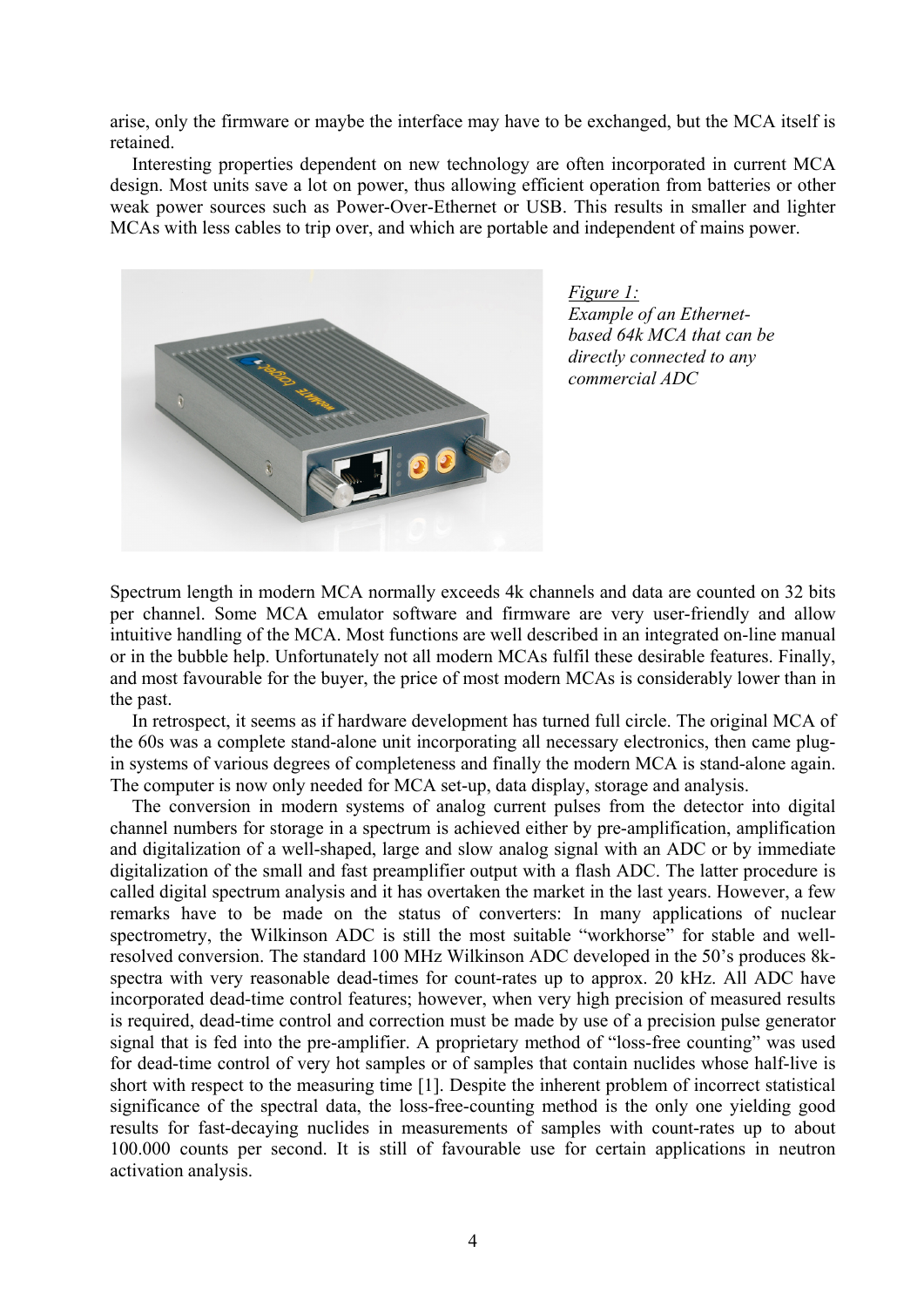arise, only the firmware or maybe the interface may have to be exchanged, but the MCA itself is retained.

 Interesting properties dependent on new technology are often incorporated in current MCA design. Most units save a lot on power, thus allowing efficient operation from batteries or other weak power sources such as Power-Over-Ethernet or USB. This results in smaller and lighter MCAs with less cables to trip over, and which are portable and independent of mains power.



*Figure 1: Example of an Ethernetbased 64k MCA that can be directly connected to any commercial ADC* 

Spectrum length in modern MCA normally exceeds 4k channels and data are counted on 32 bits per channel. Some MCA emulator software and firmware are very user-friendly and allow intuitive handling of the MCA. Most functions are well described in an integrated on-line manual or in the bubble help. Unfortunately not all modern MCAs fulfil these desirable features. Finally, and most favourable for the buyer, the price of most modern MCAs is considerably lower than in the past.

 In retrospect, it seems as if hardware development has turned full circle. The original MCA of the 60s was a complete stand-alone unit incorporating all necessary electronics, then came plugin systems of various degrees of completeness and finally the modern MCA is stand-alone again. The computer is now only needed for MCA set-up, data display, storage and analysis.

 The conversion in modern systems of analog current pulses from the detector into digital channel numbers for storage in a spectrum is achieved either by pre-amplification, amplification and digitalization of a well-shaped, large and slow analog signal with an ADC or by immediate digitalization of the small and fast preamplifier output with a flash ADC. The latter procedure is called digital spectrum analysis and it has overtaken the market in the last years. However, a few remarks have to be made on the status of converters: In many applications of nuclear spectrometry, the Wilkinson ADC is still the most suitable "workhorse" for stable and wellresolved conversion. The standard 100 MHz Wilkinson ADC developed in the 50's produces 8kspectra with very reasonable dead-times for count-rates up to approx. 20 kHz. All ADC have incorporated dead-time control features; however, when very high precision of measured results is required, dead-time control and correction must be made by use of a precision pulse generator signal that is fed into the pre-amplifier. A proprietary method of "loss-free counting" was used for dead-time control of very hot samples or of samples that contain nuclides whose half-live is short with respect to the measuring time [1]. Despite the inherent problem of incorrect statistical significance of the spectral data, the loss-free-counting method is the only one yielding good results for fast-decaying nuclides in measurements of samples with count-rates up to about 100.000 counts per second. It is still of favourable use for certain applications in neutron activation analysis.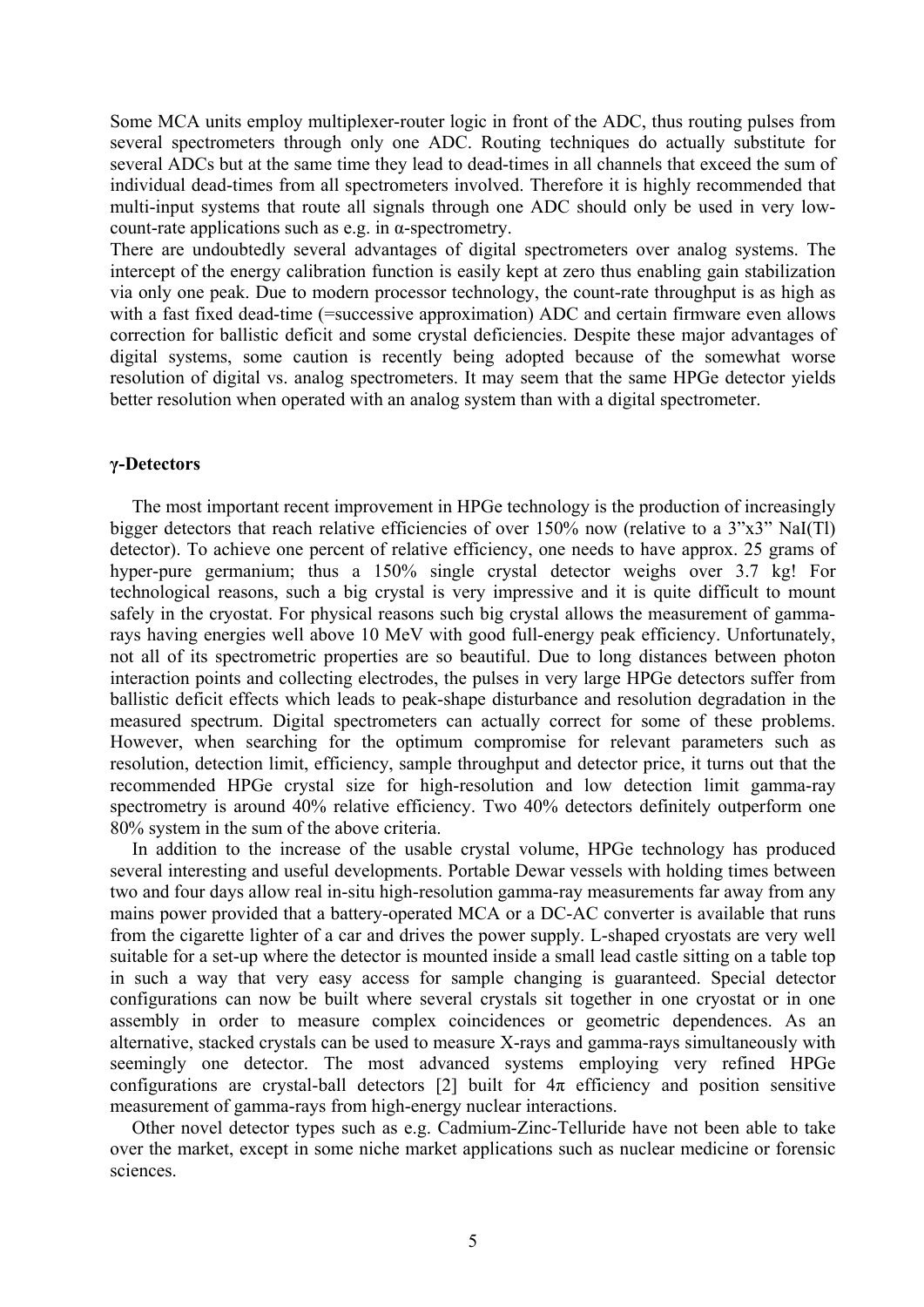Some MCA units employ multiplexer-router logic in front of the ADC, thus routing pulses from several spectrometers through only one ADC. Routing techniques do actually substitute for several ADCs but at the same time they lead to dead-times in all channels that exceed the sum of individual dead-times from all spectrometers involved. Therefore it is highly recommended that multi-input systems that route all signals through one ADC should only be used in very lowcount-rate applications such as e.g. in  $\alpha$ -spectrometry.

There are undoubtedly several advantages of digital spectrometers over analog systems. The intercept of the energy calibration function is easily kept at zero thus enabling gain stabilization via only one peak. Due to modern processor technology, the count-rate throughput is as high as with a fast fixed dead-time (=successive approximation) ADC and certain firmware even allows correction for ballistic deficit and some crystal deficiencies. Despite these major advantages of digital systems, some caution is recently being adopted because of the somewhat worse resolution of digital vs. analog spectrometers. It may seem that the same HPGe detector yields better resolution when operated with an analog system than with a digital spectrometer.

## **γ-Detectors**

 The most important recent improvement in HPGe technology is the production of increasingly bigger detectors that reach relative efficiencies of over 150% now (relative to a 3"x3" NaI(Tl) detector). To achieve one percent of relative efficiency, one needs to have approx. 25 grams of hyper-pure germanium; thus a 150% single crystal detector weighs over 3.7 kg! For technological reasons, such a big crystal is very impressive and it is quite difficult to mount safely in the cryostat. For physical reasons such big crystal allows the measurement of gammarays having energies well above 10 MeV with good full-energy peak efficiency. Unfortunately, not all of its spectrometric properties are so beautiful. Due to long distances between photon interaction points and collecting electrodes, the pulses in very large HPGe detectors suffer from ballistic deficit effects which leads to peak-shape disturbance and resolution degradation in the measured spectrum. Digital spectrometers can actually correct for some of these problems. However, when searching for the optimum compromise for relevant parameters such as resolution, detection limit, efficiency, sample throughput and detector price, it turns out that the recommended HPGe crystal size for high-resolution and low detection limit gamma-ray spectrometry is around 40% relative efficiency. Two 40% detectors definitely outperform one 80% system in the sum of the above criteria.

 In addition to the increase of the usable crystal volume, HPGe technology has produced several interesting and useful developments. Portable Dewar vessels with holding times between two and four days allow real in-situ high-resolution gamma-ray measurements far away from any mains power provided that a battery-operated MCA or a DC-AC converter is available that runs from the cigarette lighter of a car and drives the power supply. L-shaped cryostats are very well suitable for a set-up where the detector is mounted inside a small lead castle sitting on a table top in such a way that very easy access for sample changing is guaranteed. Special detector configurations can now be built where several crystals sit together in one cryostat or in one assembly in order to measure complex coincidences or geometric dependences. As an alternative, stacked crystals can be used to measure X-rays and gamma-rays simultaneously with seemingly one detector. The most advanced systems employing very refined HPGe configurations are crystal-ball detectors [2] built for  $4\pi$  efficiency and position sensitive measurement of gamma-rays from high-energy nuclear interactions.

 Other novel detector types such as e.g. Cadmium-Zinc-Telluride have not been able to take over the market, except in some niche market applications such as nuclear medicine or forensic sciences.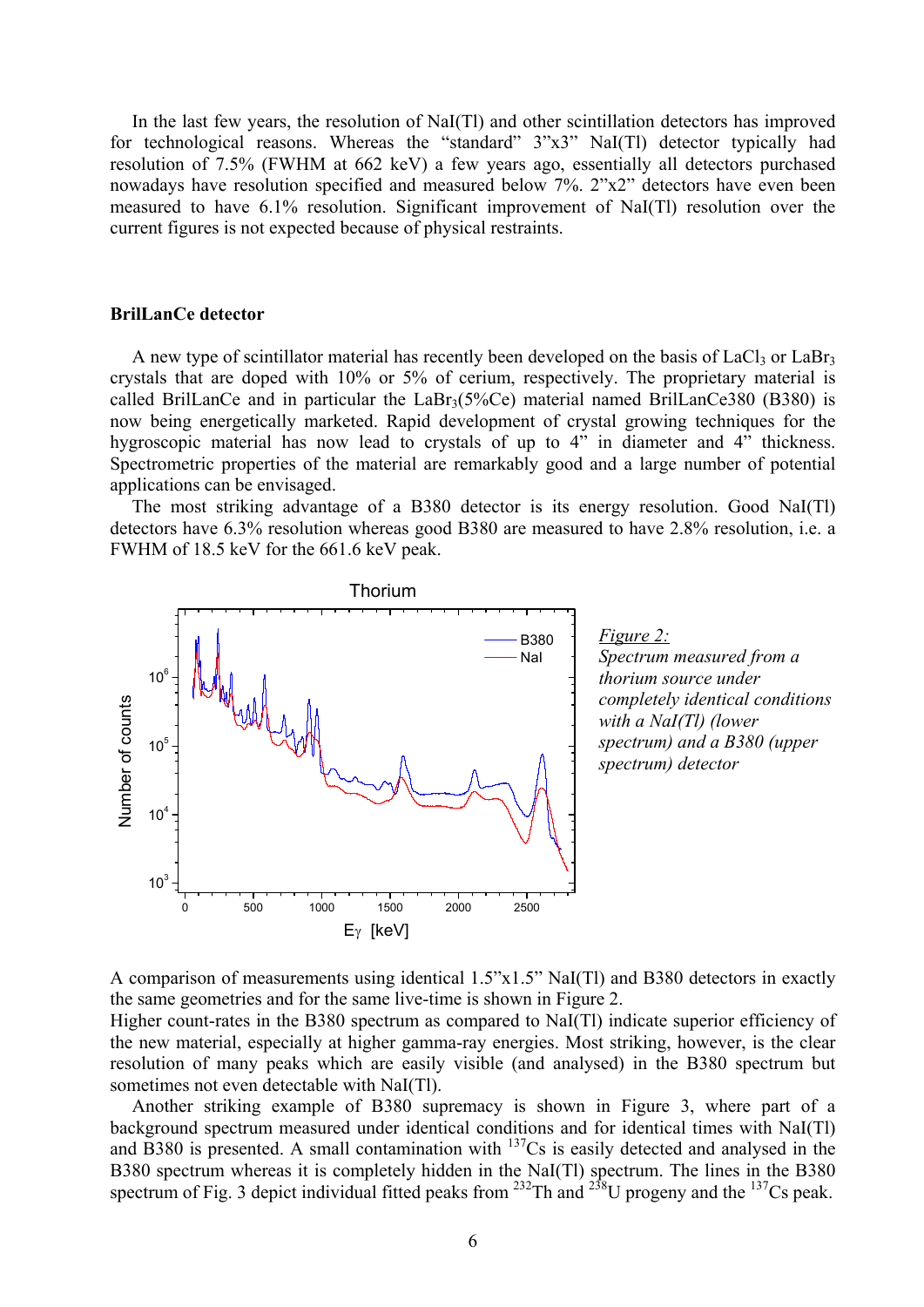In the last few years, the resolution of NaI(Tl) and other scintillation detectors has improved for technological reasons. Whereas the "standard" 3"x3" NaI(Tl) detector typically had resolution of 7.5% (FWHM at 662 keV) a few years ago, essentially all detectors purchased nowadays have resolution specified and measured below 7%. 2"x2" detectors have even been measured to have 6.1% resolution. Significant improvement of NaI(Tl) resolution over the current figures is not expected because of physical restraints.

#### **BrilLanCe detector**

A new type of scintillator material has recently been developed on the basis of  $LaCl<sub>3</sub>$  or  $LaBr<sub>3</sub>$ crystals that are doped with 10% or 5% of cerium, respectively. The proprietary material is called BrilLanCe and in particular the  $LaBr<sub>3</sub>(5\%Ce)$  material named BrilLanCe380 (B380) is now being energetically marketed. Rapid development of crystal growing techniques for the hygroscopic material has now lead to crystals of up to 4" in diameter and 4" thickness. Spectrometric properties of the material are remarkably good and a large number of potential applications can be envisaged.

 The most striking advantage of a B380 detector is its energy resolution. Good NaI(Tl) detectors have 6.3% resolution whereas good B380 are measured to have 2.8% resolution, i.e. a FWHM of 18.5 keV for the 661.6 keV peak.



A comparison of measurements using identical 1.5"x1.5" NaI(Tl) and B380 detectors in exactly the same geometries and for the same live-time is shown in Figure 2.

Higher count-rates in the B380 spectrum as compared to NaI(Tl) indicate superior efficiency of the new material, especially at higher gamma-ray energies. Most striking, however, is the clear resolution of many peaks which are easily visible (and analysed) in the B380 spectrum but sometimes not even detectable with NaI(Tl).

 Another striking example of B380 supremacy is shown in Figure 3, where part of a background spectrum measured under identical conditions and for identical times with NaI(Tl) and B380 is presented. A small contamination with <sup>137</sup>Cs is easily detected and analysed in the B380 spectrum whereas it is completely hidden in the NaI(Tl) spectrum. The lines in the B380 spectrum of Fig. 3 depict individual fitted peaks from <sup>232</sup>Th and <sup>238</sup>U progeny and the <sup>137</sup>Cs peak.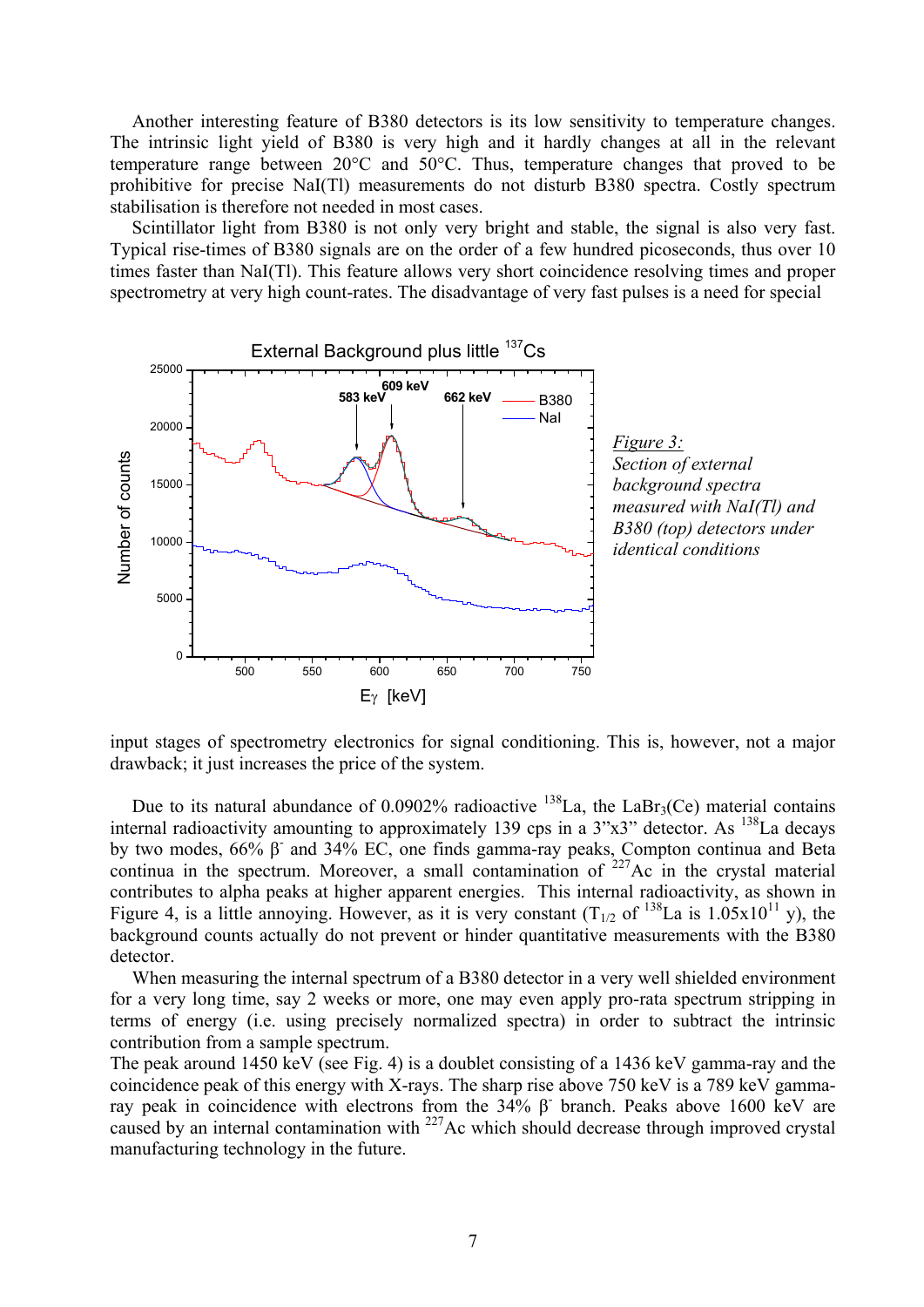Another interesting feature of B380 detectors is its low sensitivity to temperature changes. The intrinsic light yield of B380 is very high and it hardly changes at all in the relevant temperature range between 20°C and 50°C. Thus, temperature changes that proved to be prohibitive for precise NaI(Tl) measurements do not disturb B380 spectra. Costly spectrum stabilisation is therefore not needed in most cases.

 Scintillator light from B380 is not only very bright and stable, the signal is also very fast. Typical rise-times of B380 signals are on the order of a few hundred picoseconds, thus over 10 times faster than NaI(Tl). This feature allows very short coincidence resolving times and proper spectrometry at very high count-rates. The disadvantage of very fast pulses is a need for special



input stages of spectrometry electronics for signal conditioning. This is, however, not a major drawback; it just increases the price of the system.

Due to its natural abundance of  $0.0902\%$  radioactive <sup>138</sup>La, the LaBr<sub>3</sub>(Ce) material contains internal radioactivity amounting to approximately 139 cps in a  $3"x3"$  detector. As  $^{138}$ La decays by two modes, 66% β- and 34% EC, one finds gamma-ray peaks, Compton continua and Beta continua in the spectrum. Moreover, a small contamination of  $^{227}$ Ac in the crystal material contributes to alpha peaks at higher apparent energies. This internal radioactivity, as shown in Figure 4, is a little annoying. However, as it is very constant  $(T_{1/2}$  of  $^{138}$ La is  $1.05 \times 10^{11}$  y), the background counts actually do not prevent or hinder quantitative measurements with the B380 detector.

When measuring the internal spectrum of a B380 detector in a very well shielded environment for a very long time, say 2 weeks or more, one may even apply pro-rata spectrum stripping in terms of energy (i.e. using precisely normalized spectra) in order to subtract the intrinsic contribution from a sample spectrum.

The peak around 1450 keV (see Fig. 4) is a doublet consisting of a 1436 keV gamma-ray and the coincidence peak of this energy with X-rays. The sharp rise above 750 keV is a 789 keV gammaray peak in coincidence with electrons from the  $34\%$  β branch. Peaks above 1600 keV are caused by an internal contamination with  $^{227}$ Ac which should decrease through improved crystal manufacturing technology in the future.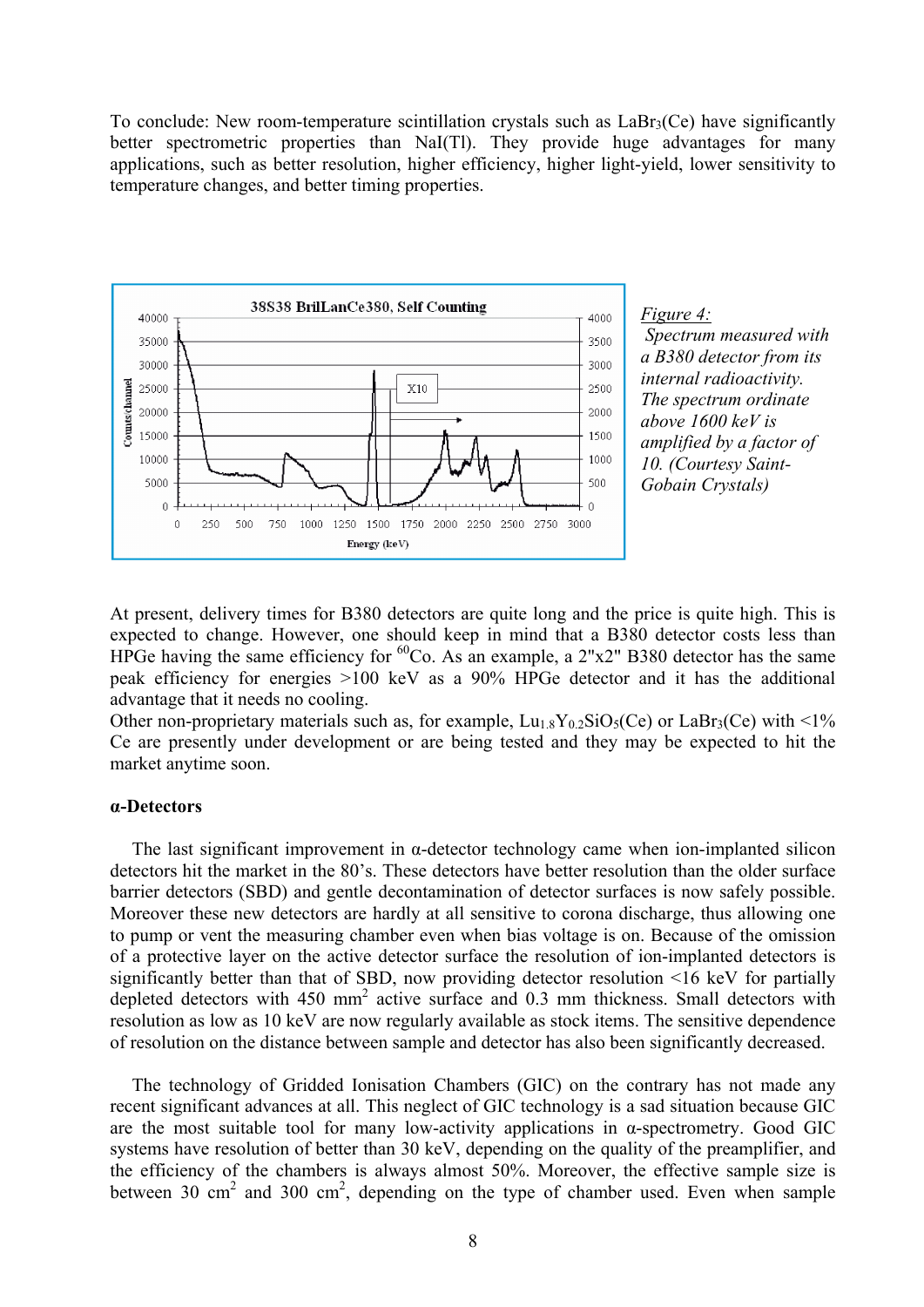To conclude: New room-temperature scintillation crystals such as  $LaBr<sub>3</sub>(Ce)$  have significantly better spectrometric properties than NaI(Tl). They provide huge advantages for many applications, such as better resolution, higher efficiency, higher light-yield, lower sensitivity to temperature changes, and better timing properties.





At present, delivery times for B380 detectors are quite long and the price is quite high. This is expected to change. However, one should keep in mind that a B380 detector costs less than HPGe having the same efficiency for  ${}^{60}$ Co. As an example, a 2"x2" B380 detector has the same peak efficiency for energies >100 keV as a 90% HPGe detector and it has the additional advantage that it needs no cooling.

Other non-proprietary materials such as, for example,  $Lu_{1.8}Y_{0.2}SiO_5(Ce)$  or  $LaBr_3(Ce)$  with <1% Ce are presently under development or are being tested and they may be expected to hit the market anytime soon.

## **α-Detectors**

The last significant improvement in  $\alpha$ -detector technology came when ion-implanted silicon detectors hit the market in the 80's. These detectors have better resolution than the older surface barrier detectors (SBD) and gentle decontamination of detector surfaces is now safely possible. Moreover these new detectors are hardly at all sensitive to corona discharge, thus allowing one to pump or vent the measuring chamber even when bias voltage is on. Because of the omission of a protective layer on the active detector surface the resolution of ion-implanted detectors is significantly better than that of SBD, now providing detector resolution <16 keV for partially depleted detectors with 450 mm<sup>2</sup> active surface and 0.3 mm thickness. Small detectors with resolution as low as 10 keV are now regularly available as stock items. The sensitive dependence of resolution on the distance between sample and detector has also been significantly decreased.

 The technology of Gridded Ionisation Chambers (GIC) on the contrary has not made any recent significant advances at all. This neglect of GIC technology is a sad situation because GIC are the most suitable tool for many low-activity applications in  $\alpha$ -spectrometry. Good GIC systems have resolution of better than 30 keV, depending on the quality of the preamplifier, and the efficiency of the chambers is always almost 50%. Moreover, the effective sample size is between 30  $\text{cm}^2$  and 300  $\text{cm}^2$ , depending on the type of chamber used. Even when sample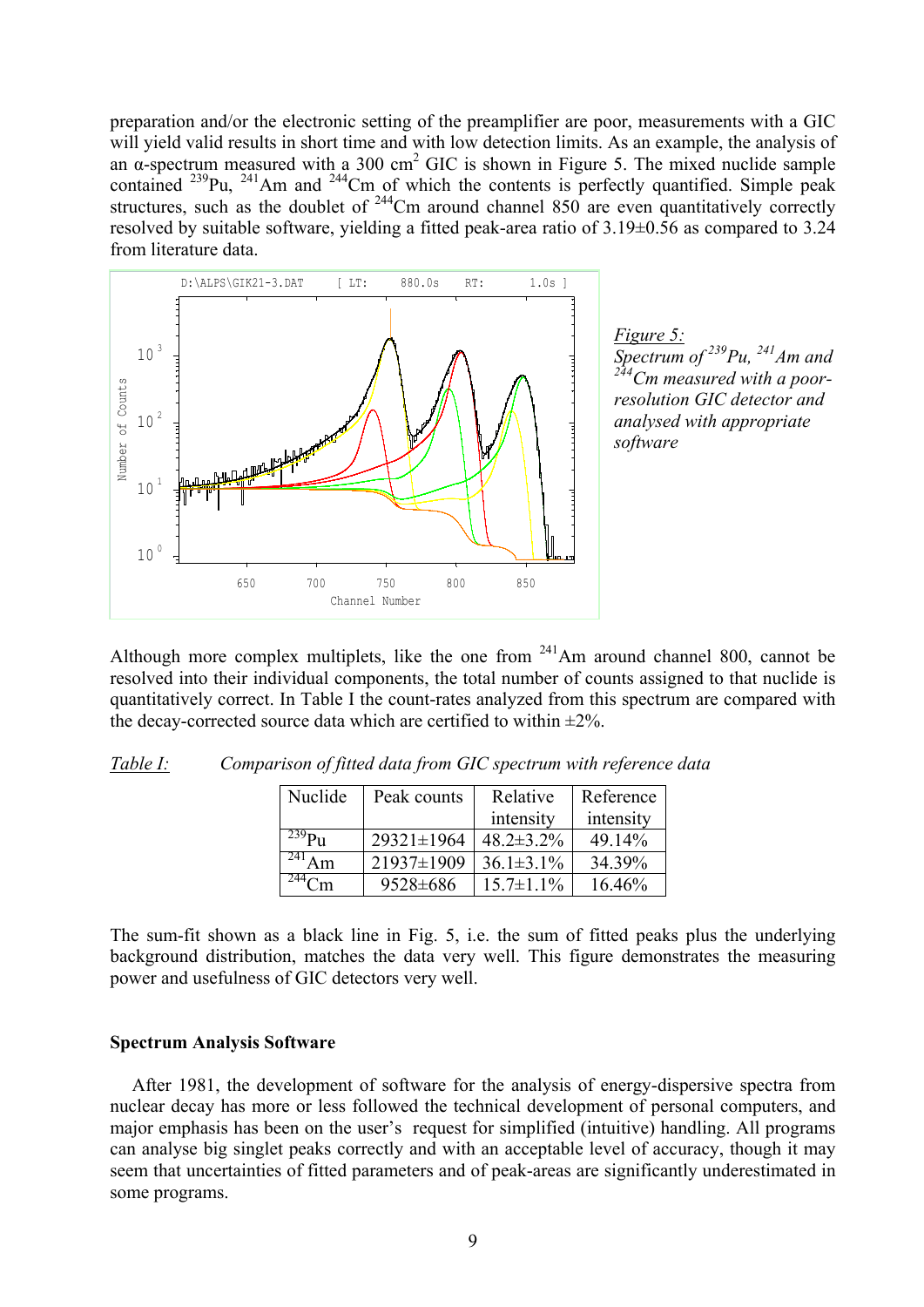preparation and/or the electronic setting of the preamplifier are poor, measurements with a GIC will yield valid results in short time and with low detection limits. As an example, the analysis of an  $\alpha$ -spectrum measured with a 300 cm<sup>2</sup> GIC is shown in Figure 5. The mixed nuclide sample contained  $^{239}$ Pu,  $^{241}$ Am and  $^{244}$ Cm of which the contents is perfectly quantified. Simple peak structures, such as the doublet of  $244$ Cm around channel 850 are even quantitatively correctly resolved by suitable software, yielding a fitted peak-area ratio of 3.19±0.56 as compared to 3.24 from literature data.



*Figure 5: Spectrum of 239Pu, 241Am and 244Cm measured with a poorresolution GIC detector and analysed with appropriate software*

Although more complex multiplets, like the one from  $241$ Am around channel 800, cannot be resolved into their individual components, the total number of counts assigned to that nuclide is quantitatively correct. In Table I the count-rates analyzed from this spectrum are compared with the decay-corrected source data which are certified to within  $\pm 2\%$ .

| Nuclide        | Peak counts      | Relative         | Reference |
|----------------|------------------|------------------|-----------|
|                |                  | intensity        | intensity |
| $^{239}P_{11}$ | 29321±1964       | $48.2 \pm 3.2\%$ | 49.14%    |
| $^{241}$ Am    | $21937 \pm 1909$ | $36.1\pm3.1\%$   | 34.39%    |
| 744.           | $9528 \pm 686$   | $15.7 \pm 1.1\%$ | 16.46%    |

*Table I: Comparison of fitted data from GIC spectrum with reference data* 

The sum-fit shown as a black line in Fig. 5, i.e. the sum of fitted peaks plus the underlying background distribution, matches the data very well. This figure demonstrates the measuring power and usefulness of GIC detectors very well.

## **Spectrum Analysis Software**

 After 1981, the development of software for the analysis of energy-dispersive spectra from nuclear decay has more or less followed the technical development of personal computers, and major emphasis has been on the user's request for simplified (intuitive) handling. All programs can analyse big singlet peaks correctly and with an acceptable level of accuracy, though it may seem that uncertainties of fitted parameters and of peak-areas are significantly underestimated in some programs.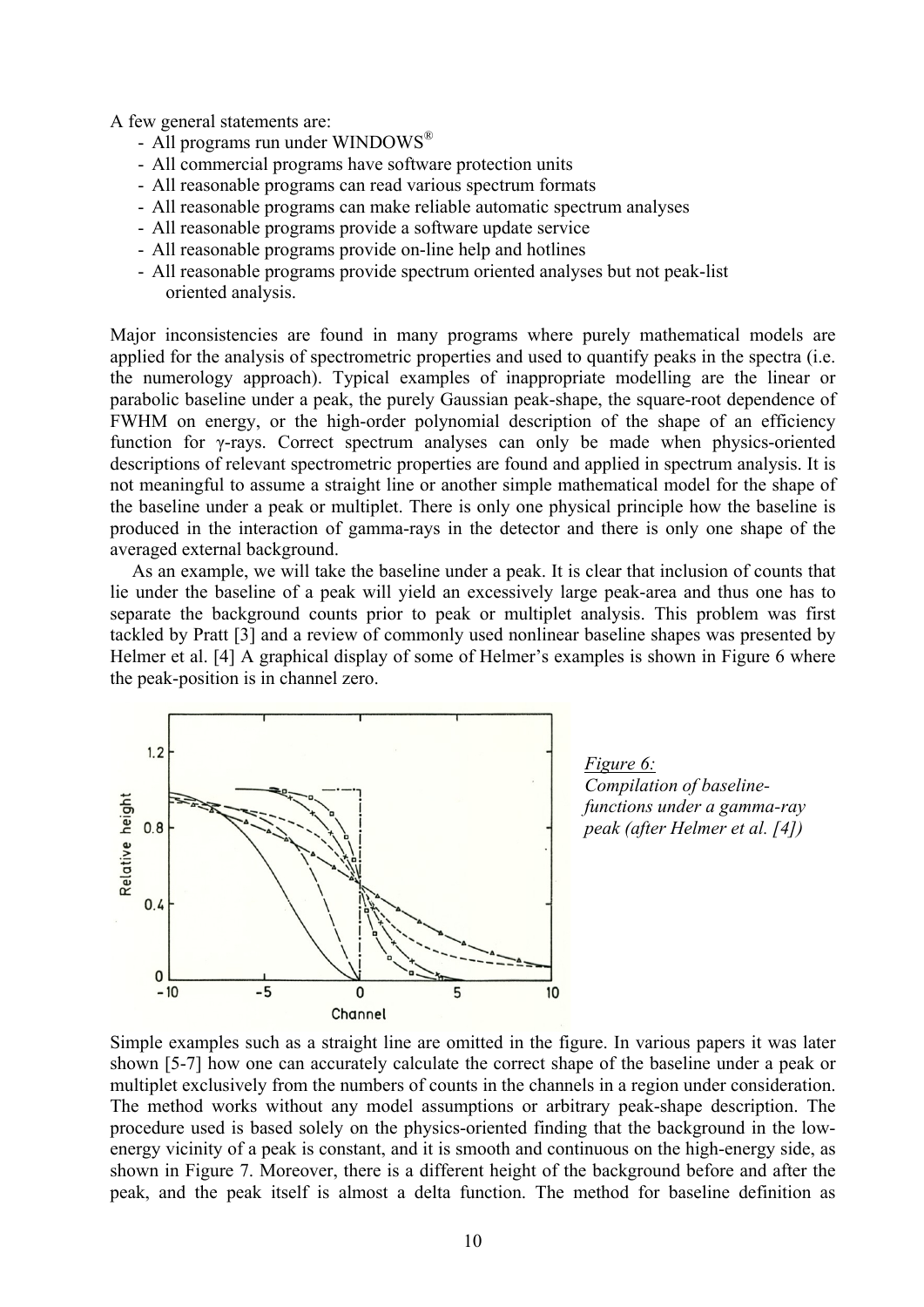A few general statements are:

- All programs run under WINDOWS®
- All commercial programs have software protection units
- All reasonable programs can read various spectrum formats
- All reasonable programs can make reliable automatic spectrum analyses
- All reasonable programs provide a software update service
- All reasonable programs provide on-line help and hotlines
- All reasonable programs provide spectrum oriented analyses but not peak-list oriented analysis.

Major inconsistencies are found in many programs where purely mathematical models are applied for the analysis of spectrometric properties and used to quantify peaks in the spectra (i.e. the numerology approach). Typical examples of inappropriate modelling are the linear or parabolic baseline under a peak, the purely Gaussian peak-shape, the square-root dependence of FWHM on energy, or the high-order polynomial description of the shape of an efficiency function for γ-rays. Correct spectrum analyses can only be made when physics-oriented descriptions of relevant spectrometric properties are found and applied in spectrum analysis. It is not meaningful to assume a straight line or another simple mathematical model for the shape of the baseline under a peak or multiplet. There is only one physical principle how the baseline is produced in the interaction of gamma-rays in the detector and there is only one shape of the averaged external background.

 As an example, we will take the baseline under a peak. It is clear that inclusion of counts that lie under the baseline of a peak will yield an excessively large peak-area and thus one has to separate the background counts prior to peak or multiplet analysis. This problem was first tackled by Pratt [3] and a review of commonly used nonlinear baseline shapes was presented by Helmer et al. [4] A graphical display of some of Helmer's examples is shown in Figure 6 where the peak-position is in channel zero.





Simple examples such as a straight line are omitted in the figure. In various papers it was later shown [5-7] how one can accurately calculate the correct shape of the baseline under a peak or multiplet exclusively from the numbers of counts in the channels in a region under consideration. The method works without any model assumptions or arbitrary peak-shape description. The procedure used is based solely on the physics-oriented finding that the background in the lowenergy vicinity of a peak is constant, and it is smooth and continuous on the high-energy side, as shown in Figure 7. Moreover, there is a different height of the background before and after the peak, and the peak itself is almost a delta function. The method for baseline definition as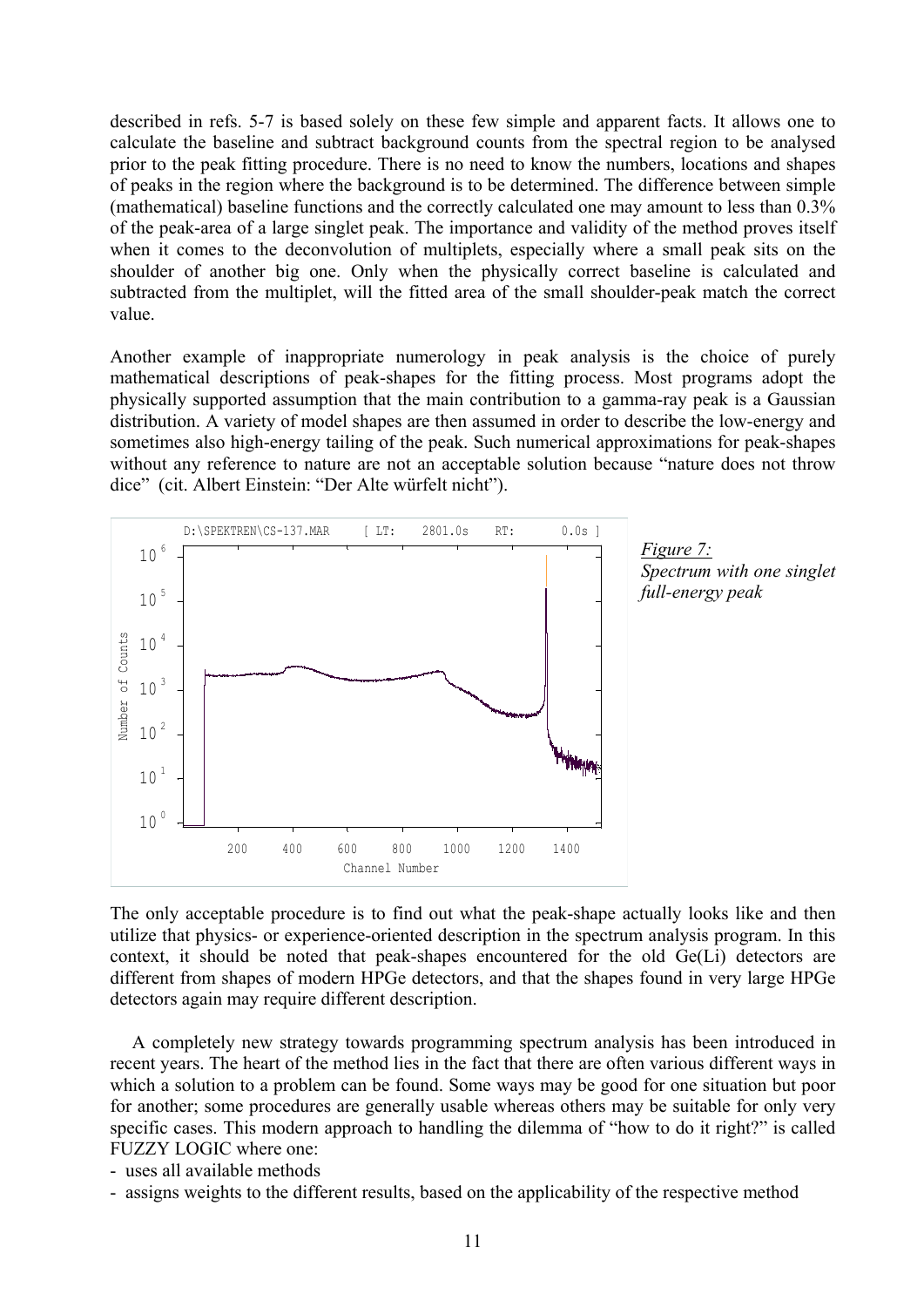described in refs. 5-7 is based solely on these few simple and apparent facts. It allows one to calculate the baseline and subtract background counts from the spectral region to be analysed prior to the peak fitting procedure. There is no need to know the numbers, locations and shapes of peaks in the region where the background is to be determined. The difference between simple (mathematical) baseline functions and the correctly calculated one may amount to less than 0.3% of the peak-area of a large singlet peak. The importance and validity of the method proves itself when it comes to the deconvolution of multiplets, especially where a small peak sits on the shoulder of another big one. Only when the physically correct baseline is calculated and subtracted from the multiplet, will the fitted area of the small shoulder-peak match the correct value.

Another example of inappropriate numerology in peak analysis is the choice of purely mathematical descriptions of peak-shapes for the fitting process. Most programs adopt the physically supported assumption that the main contribution to a gamma-ray peak is a Gaussian distribution. A variety of model shapes are then assumed in order to describe the low-energy and sometimes also high-energy tailing of the peak. Such numerical approximations for peak-shapes without any reference to nature are not an acceptable solution because "nature does not throw dice" (cit. Albert Einstein: "Der Alte würfelt nicht").



The only acceptable procedure is to find out what the peak-shape actually looks like and then utilize that physics- or experience-oriented description in the spectrum analysis program. In this context, it should be noted that peak-shapes encountered for the old Ge(Li) detectors are different from shapes of modern HPGe detectors, and that the shapes found in very large HPGe detectors again may require different description.

 A completely new strategy towards programming spectrum analysis has been introduced in recent years. The heart of the method lies in the fact that there are often various different ways in which a solution to a problem can be found. Some ways may be good for one situation but poor for another; some procedures are generally usable whereas others may be suitable for only very specific cases. This modern approach to handling the dilemma of "how to do it right?" is called FUZZY LOGIC where one:

- uses all available methods

- assigns weights to the different results, based on the applicability of the respective method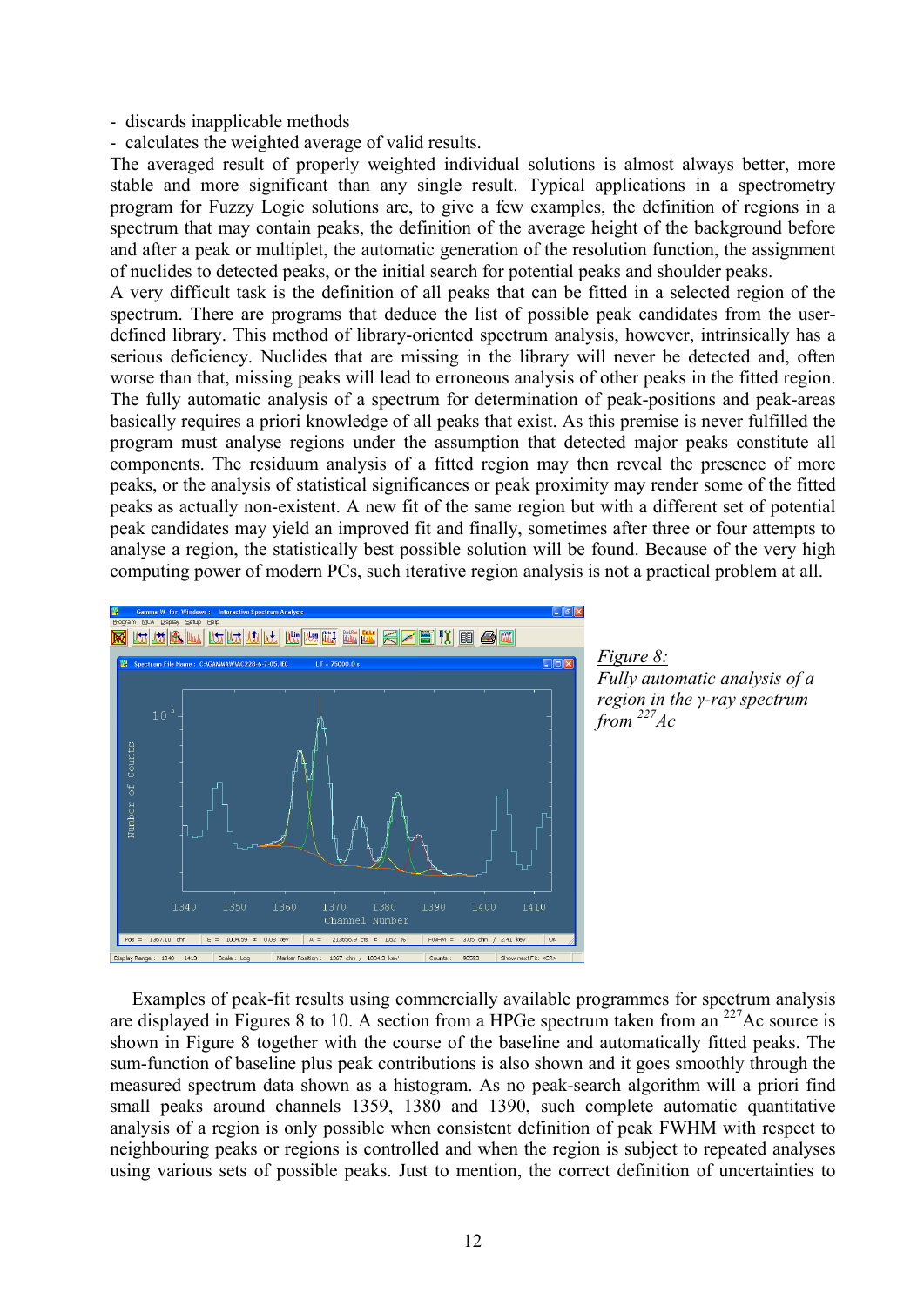- discards inapplicable methods

- calculates the weighted average of valid results.

The averaged result of properly weighted individual solutions is almost always better, more stable and more significant than any single result. Typical applications in a spectrometry program for Fuzzy Logic solutions are, to give a few examples, the definition of regions in a spectrum that may contain peaks, the definition of the average height of the background before and after a peak or multiplet, the automatic generation of the resolution function, the assignment of nuclides to detected peaks, or the initial search for potential peaks and shoulder peaks.

A very difficult task is the definition of all peaks that can be fitted in a selected region of the spectrum. There are programs that deduce the list of possible peak candidates from the userdefined library. This method of library-oriented spectrum analysis, however, intrinsically has a serious deficiency. Nuclides that are missing in the library will never be detected and, often worse than that, missing peaks will lead to erroneous analysis of other peaks in the fitted region. The fully automatic analysis of a spectrum for determination of peak-positions and peak-areas basically requires a priori knowledge of all peaks that exist. As this premise is never fulfilled the program must analyse regions under the assumption that detected major peaks constitute all components. The residuum analysis of a fitted region may then reveal the presence of more peaks, or the analysis of statistical significances or peak proximity may render some of the fitted peaks as actually non-existent. A new fit of the same region but with a different set of potential peak candidates may yield an improved fit and finally, sometimes after three or four attempts to analyse a region, the statistically best possible solution will be found. Because of the very high computing power of modern PCs, such iterative region analysis is not a practical problem at all.



# *Figure 8: Fully automatic analysis of a region in the γ-ray spectrum*   $from <sup>227</sup>AC$

 Examples of peak-fit results using commercially available programmes for spectrum analysis are displayed in Figures 8 to 10. A section from a HPGe spectrum taken from an <sup>227</sup>Ac source is shown in Figure 8 together with the course of the baseline and automatically fitted peaks. The sum-function of baseline plus peak contributions is also shown and it goes smoothly through the measured spectrum data shown as a histogram. As no peak-search algorithm will a priori find small peaks around channels 1359, 1380 and 1390, such complete automatic quantitative analysis of a region is only possible when consistent definition of peak FWHM with respect to neighbouring peaks or regions is controlled and when the region is subject to repeated analyses using various sets of possible peaks. Just to mention, the correct definition of uncertainties to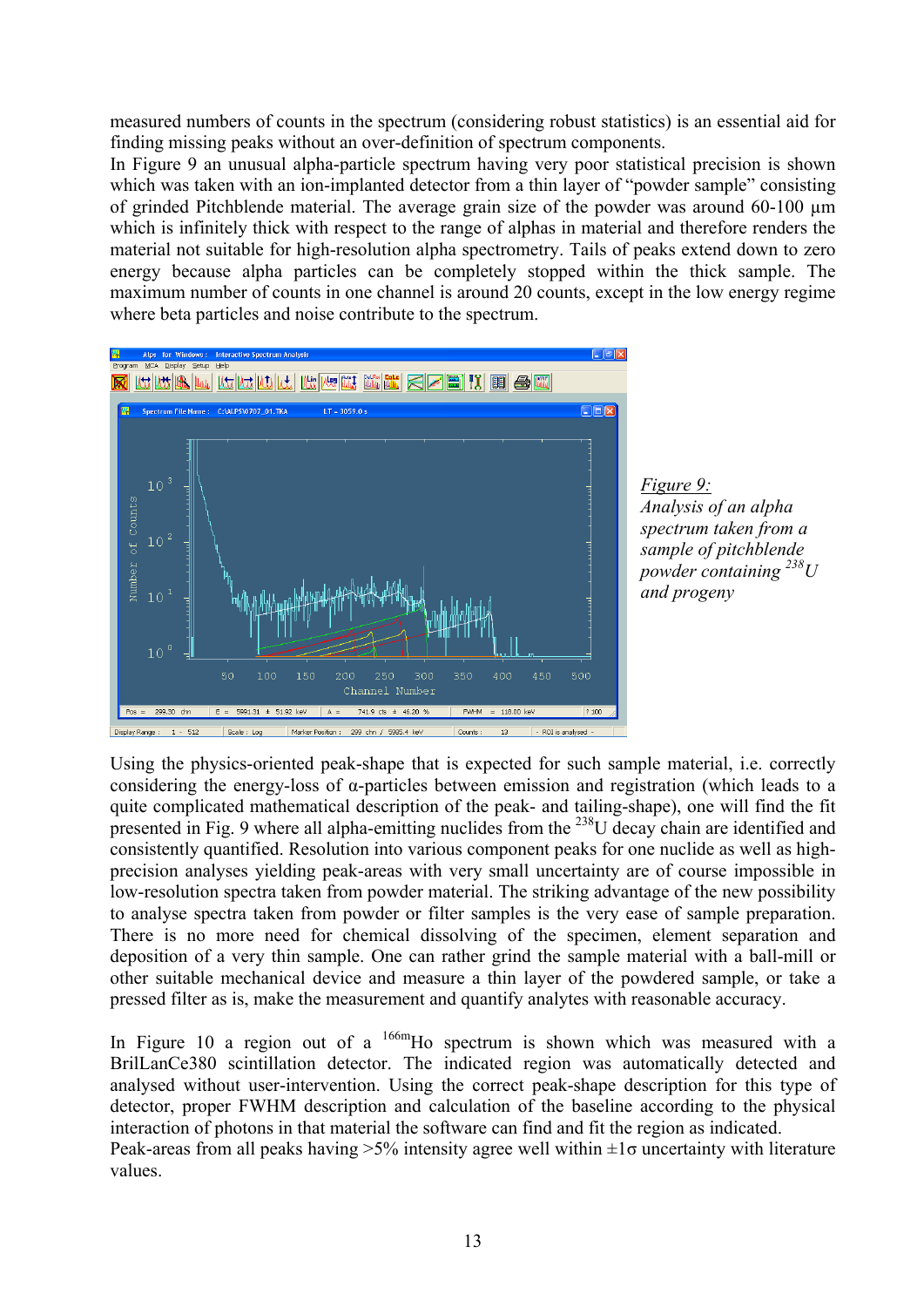measured numbers of counts in the spectrum (considering robust statistics) is an essential aid for finding missing peaks without an over-definition of spectrum components.

In Figure 9 an unusual alpha-particle spectrum having very poor statistical precision is shown which was taken with an ion-implanted detector from a thin layer of "powder sample" consisting of grinded Pitchblende material. The average grain size of the powder was around 60-100 µm which is infinitely thick with respect to the range of alphas in material and therefore renders the material not suitable for high-resolution alpha spectrometry. Tails of peaks extend down to zero energy because alpha particles can be completely stopped within the thick sample. The maximum number of counts in one channel is around 20 counts, except in the low energy regime where beta particles and noise contribute to the spectrum.



*Figure 9: Analysis of an alpha spectrum taken from a sample of pitchblende powder containing 238U and progeny* 

Using the physics-oriented peak-shape that is expected for such sample material, i.e. correctly considering the energy-loss of α-particles between emission and registration (which leads to a quite complicated mathematical description of the peak- and tailing-shape), one will find the fit presented in Fig. 9 where all alpha-emitting nuclides from the <sup>238</sup>U decay chain are identified and consistently quantified. Resolution into various component peaks for one nuclide as well as highprecision analyses yielding peak-areas with very small uncertainty are of course impossible in low-resolution spectra taken from powder material. The striking advantage of the new possibility to analyse spectra taken from powder or filter samples is the very ease of sample preparation. There is no more need for chemical dissolving of the specimen, element separation and deposition of a very thin sample. One can rather grind the sample material with a ball-mill or other suitable mechanical device and measure a thin layer of the powdered sample, or take a pressed filter as is, make the measurement and quantify analytes with reasonable accuracy.

In Figure 10 a region out of a  $166m$ Ho spectrum is shown which was measured with a BrilLanCe380 scintillation detector. The indicated region was automatically detected and analysed without user-intervention. Using the correct peak-shape description for this type of detector, proper FWHM description and calculation of the baseline according to the physical interaction of photons in that material the software can find and fit the region as indicated. Peak-areas from all peaks having  $>5\%$  intensity agree well within  $\pm 1\sigma$  uncertainty with literature values.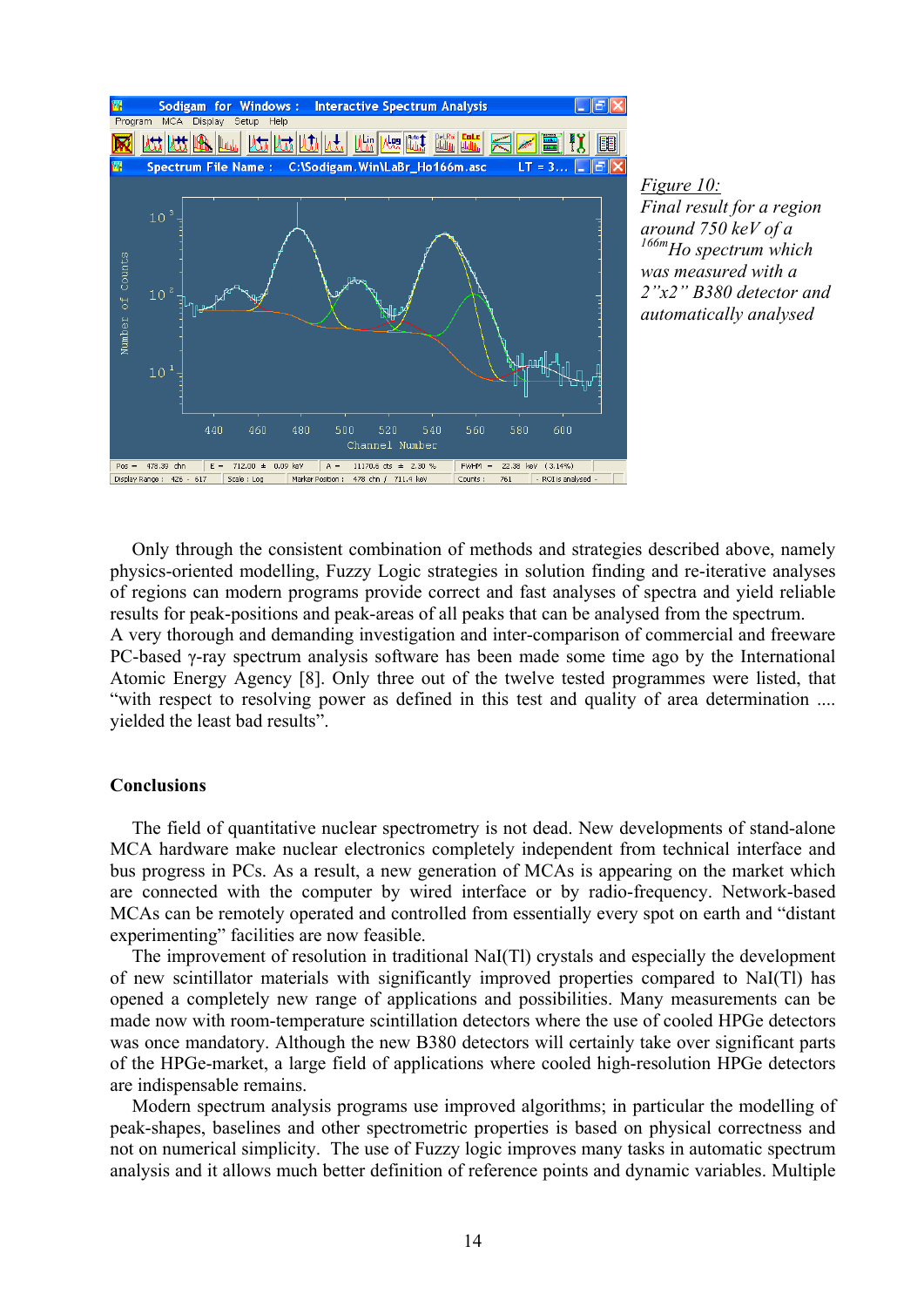

*Figure 10: Final result for a region around 750 keV of a 166mHo spectrum which was measured with a 2"x2" B380 detector and automatically analysed* 

 Only through the consistent combination of methods and strategies described above, namely physics-oriented modelling, Fuzzy Logic strategies in solution finding and re-iterative analyses of regions can modern programs provide correct and fast analyses of spectra and yield reliable results for peak-positions and peak-areas of all peaks that can be analysed from the spectrum. A very thorough and demanding investigation and inter-comparison of commercial and freeware PC-based γ-ray spectrum analysis software has been made some time ago by the International Atomic Energy Agency [8]. Only three out of the twelve tested programmes were listed, that "with respect to resolving power as defined in this test and quality of area determination .... yielded the least bad results".

### **Conclusions**

 The field of quantitative nuclear spectrometry is not dead. New developments of stand-alone MCA hardware make nuclear electronics completely independent from technical interface and bus progress in PCs. As a result, a new generation of MCAs is appearing on the market which are connected with the computer by wired interface or by radio-frequency. Network-based MCAs can be remotely operated and controlled from essentially every spot on earth and "distant experimenting" facilities are now feasible.

 The improvement of resolution in traditional NaI(Tl) crystals and especially the development of new scintillator materials with significantly improved properties compared to NaI(Tl) has opened a completely new range of applications and possibilities. Many measurements can be made now with room-temperature scintillation detectors where the use of cooled HPGe detectors was once mandatory. Although the new B380 detectors will certainly take over significant parts of the HPGe-market, a large field of applications where cooled high-resolution HPGe detectors are indispensable remains.

 Modern spectrum analysis programs use improved algorithms; in particular the modelling of peak-shapes, baselines and other spectrometric properties is based on physical correctness and not on numerical simplicity. The use of Fuzzy logic improves many tasks in automatic spectrum analysis and it allows much better definition of reference points and dynamic variables. Multiple